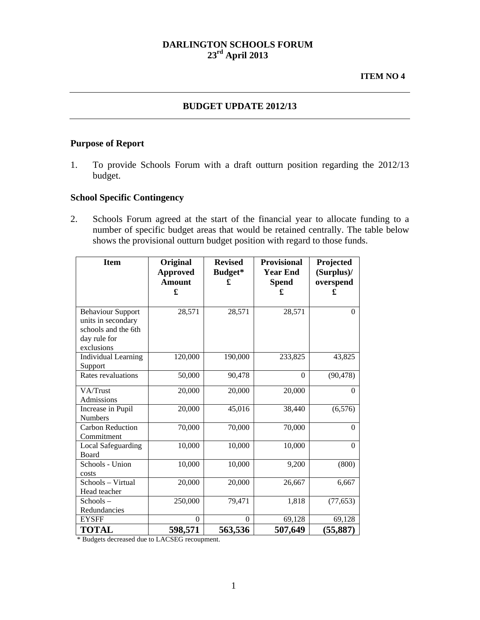# **DARLINGTON SCHOOLS FORUM 23rd April 2013**

### **BUDGET UPDATE 2012/13**

#### **Purpose of Report**

1. To provide Schools Forum with a draft outturn position regarding the 2012/13 budget.

### **School Specific Contingency**

2. Schools Forum agreed at the start of the financial year to allocate funding to a number of specific budget areas that would be retained centrally. The table below shows the provisional outturn budget position with regard to those funds.

| <b>Item</b>                                                                                         | Original<br><b>Approved</b><br><b>Amount</b><br>£ | <b>Revised</b><br>Budget*<br>£ | <b>Provisional</b><br><b>Year End</b><br><b>Spend</b><br>£ | Projected<br>(Surplus)/<br>overspend<br>£ |
|-----------------------------------------------------------------------------------------------------|---------------------------------------------------|--------------------------------|------------------------------------------------------------|-------------------------------------------|
| <b>Behaviour Support</b><br>units in secondary<br>schools and the 6th<br>day rule for<br>exclusions | 28,571                                            | 28,571                         | 28,571                                                     | $\theta$                                  |
| <b>Individual Learning</b><br>Support                                                               | 120,000                                           | 190,000                        | 233,825                                                    | 43,825                                    |
| Rates revaluations                                                                                  | 50,000                                            | 90,478                         | $\Omega$                                                   | (90, 478)                                 |
| VA/Trust<br>Admissions                                                                              | 20,000                                            | 20,000                         | 20,000                                                     | $\Omega$                                  |
| Increase in Pupil<br><b>Numbers</b>                                                                 | 20,000                                            | 45,016                         | 38,440                                                     | (6, 576)                                  |
| <b>Carbon Reduction</b><br>Commitment                                                               | 70,000                                            | 70,000                         | 70,000                                                     | $\Omega$                                  |
| <b>Local Safeguarding</b><br>Board                                                                  | 10,000                                            | 10,000                         | 10,000                                                     | $\Omega$                                  |
| Schools - Union<br>costs                                                                            | 10,000                                            | 10,000                         | 9,200                                                      | (800)                                     |
| Schools - Virtual<br>Head teacher                                                                   | 20,000                                            | 20,000                         | 26,667                                                     | 6,667                                     |
| Schools-<br>Redundancies                                                                            | 250,000                                           | 79,471                         | 1,818                                                      | (77, 653)                                 |
| <b>EYSFF</b>                                                                                        | $\Omega$                                          | $\Omega$                       | 69,128                                                     | 69,128                                    |
| <b>TOTAL</b>                                                                                        | 598,571                                           | 563,536                        | 507,649                                                    | (55, 887)                                 |

\* Budgets decreased due to LACSEG recoupment.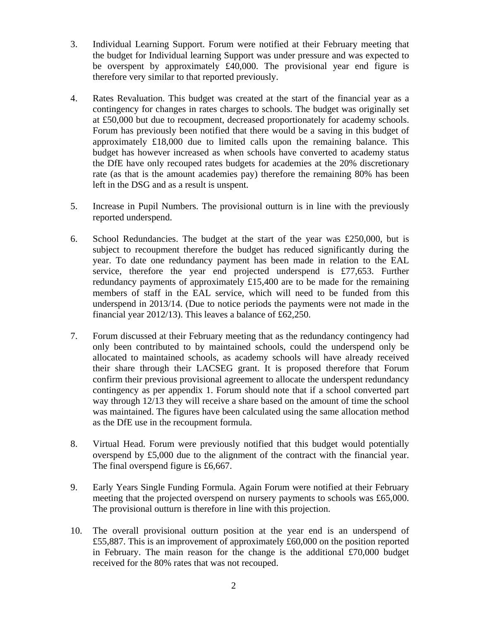- 3. Individual Learning Support. Forum were notified at their February meeting that the budget for Individual learning Support was under pressure and was expected to be overspent by approximately £40,000. The provisional year end figure is therefore very similar to that reported previously.
- 4. Rates Revaluation. This budget was created at the start of the financial year as a contingency for changes in rates charges to schools. The budget was originally set at £50,000 but due to recoupment, decreased proportionately for academy schools. Forum has previously been notified that there would be a saving in this budget of approximately £18,000 due to limited calls upon the remaining balance. This budget has however increased as when schools have converted to academy status the DfE have only recouped rates budgets for academies at the 20% discretionary rate (as that is the amount academies pay) therefore the remaining 80% has been left in the DSG and as a result is unspent.
- 5. Increase in Pupil Numbers. The provisional outturn is in line with the previously reported underspend.
- 6. School Redundancies. The budget at the start of the year was £250,000, but is subject to recoupment therefore the budget has reduced significantly during the year. To date one redundancy payment has been made in relation to the EAL service, therefore the year end projected underspend is £77,653. Further redundancy payments of approximately £15,400 are to be made for the remaining members of staff in the EAL service, which will need to be funded from this underspend in 2013/14. (Due to notice periods the payments were not made in the financial year 2012/13). This leaves a balance of £62,250.
- 7. Forum discussed at their February meeting that as the redundancy contingency had only been contributed to by maintained schools, could the underspend only be allocated to maintained schools, as academy schools will have already received their share through their LACSEG grant. It is proposed therefore that Forum confirm their previous provisional agreement to allocate the underspent redundancy contingency as per appendix 1. Forum should note that if a school converted part way through 12/13 they will receive a share based on the amount of time the school was maintained. The figures have been calculated using the same allocation method as the DfE use in the recoupment formula.
- 8. Virtual Head. Forum were previously notified that this budget would potentially overspend by £5,000 due to the alignment of the contract with the financial year. The final overspend figure is £6,667.
- 9. Early Years Single Funding Formula. Again Forum were notified at their February meeting that the projected overspend on nursery payments to schools was £65,000. The provisional outturn is therefore in line with this projection.
- 10. The overall provisional outturn position at the year end is an underspend of £55,887. This is an improvement of approximately £60,000 on the position reported in February. The main reason for the change is the additional  $\text{\pounds}70,000$  budget received for the 80% rates that was not recouped.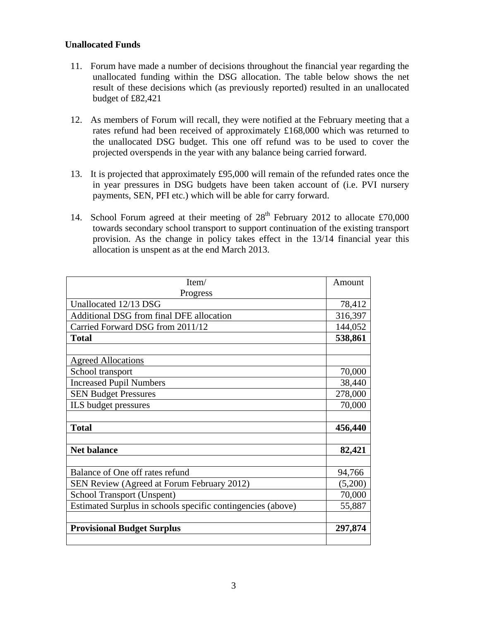#### **Unallocated Funds**

- 11. Forum have made a number of decisions throughout the financial year regarding the unallocated funding within the DSG allocation. The table below shows the net result of these decisions which (as previously reported) resulted in an unallocated budget of £82,421
- 12. As members of Forum will recall, they were notified at the February meeting that a rates refund had been received of approximately £168,000 which was returned to the unallocated DSG budget. This one off refund was to be used to cover the projected overspends in the year with any balance being carried forward.
- 13. It is projected that approximately £95,000 will remain of the refunded rates once the in year pressures in DSG budgets have been taken account of (i.e. PVI nursery payments, SEN, PFI etc.) which will be able for carry forward.
- 14. School Forum agreed at their meeting of  $28<sup>th</sup>$  February 2012 to allocate £70,000 towards secondary school transport to support continuation of the existing transport provision. As the change in policy takes effect in the 13/14 financial year this allocation is unspent as at the end March 2013.

| Item/                                                       |         |  |
|-------------------------------------------------------------|---------|--|
| Progress                                                    |         |  |
| Unallocated 12/13 DSG                                       |         |  |
| Additional DSG from final DFE allocation                    |         |  |
| Carried Forward DSG from 2011/12                            |         |  |
| <b>Total</b>                                                | 538,861 |  |
|                                                             |         |  |
| <b>Agreed Allocations</b>                                   |         |  |
| School transport                                            |         |  |
| <b>Increased Pupil Numbers</b>                              |         |  |
| <b>SEN Budget Pressures</b>                                 |         |  |
| ILS budget pressures                                        |         |  |
|                                                             |         |  |
| <b>Total</b>                                                | 456,440 |  |
|                                                             |         |  |
| <b>Net balance</b>                                          |         |  |
|                                                             |         |  |
| Balance of One off rates refund                             | 94,766  |  |
| SEN Review (Agreed at Forum February 2012)                  |         |  |
| School Transport (Unspent)                                  | 70,000  |  |
| Estimated Surplus in schools specific contingencies (above) | 55,887  |  |
|                                                             |         |  |
| <b>Provisional Budget Surplus</b>                           |         |  |
|                                                             |         |  |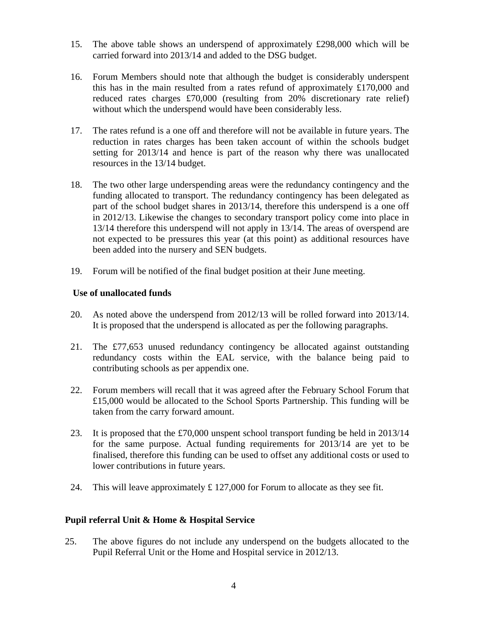- 15. The above table shows an underspend of approximately  $\text{\pounds}298,000$  which will be carried forward into 2013/14 and added to the DSG budget.
- 16. Forum Members should note that although the budget is considerably underspent this has in the main resulted from a rates refund of approximately £170,000 and reduced rates charges £70,000 (resulting from 20% discretionary rate relief) without which the underspend would have been considerably less.
- 17. The rates refund is a one off and therefore will not be available in future years. The reduction in rates charges has been taken account of within the schools budget setting for 2013/14 and hence is part of the reason why there was unallocated resources in the 13/14 budget.
- 18. The two other large underspending areas were the redundancy contingency and the funding allocated to transport. The redundancy contingency has been delegated as part of the school budget shares in 2013/14, therefore this underspend is a one off in 2012/13. Likewise the changes to secondary transport policy come into place in 13/14 therefore this underspend will not apply in 13/14. The areas of overspend are not expected to be pressures this year (at this point) as additional resources have been added into the nursery and SEN budgets.
- 19. Forum will be notified of the final budget position at their June meeting.

## **Use of unallocated funds**

- 20. As noted above the underspend from 2012/13 will be rolled forward into 2013/14. It is proposed that the underspend is allocated as per the following paragraphs.
- 21. The £77,653 unused redundancy contingency be allocated against outstanding redundancy costs within the EAL service, with the balance being paid to contributing schools as per appendix one.
- 22. Forum members will recall that it was agreed after the February School Forum that £15,000 would be allocated to the School Sports Partnership. This funding will be taken from the carry forward amount.
- 23. It is proposed that the £70,000 unspent school transport funding be held in 2013/14 for the same purpose. Actual funding requirements for 2013/14 are yet to be finalised, therefore this funding can be used to offset any additional costs or used to lower contributions in future years.
- 24. This will leave approximately  $£ 127,000$  for Forum to allocate as they see fit.

#### **Pupil referral Unit & Home & Hospital Service**

25. The above figures do not include any underspend on the budgets allocated to the Pupil Referral Unit or the Home and Hospital service in 2012/13.